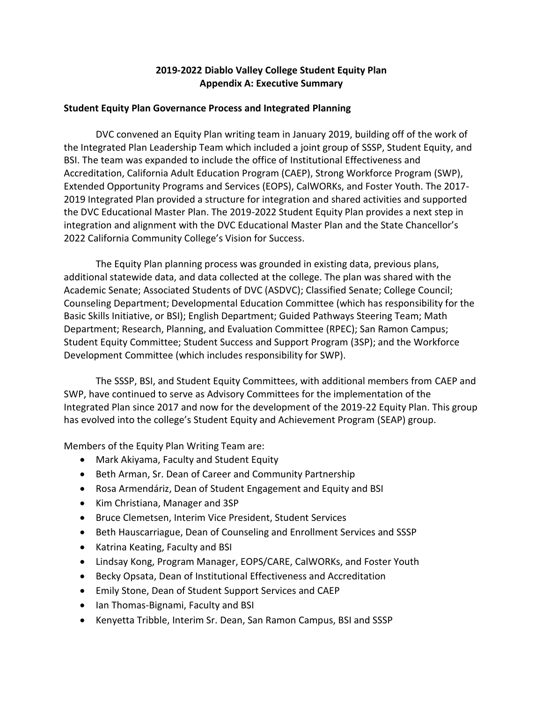# **2019-2022 Diablo Valley College Student Equity Plan Appendix A: Executive Summary**

## **Student Equity Plan Governance Process and Integrated Planning**

DVC convened an Equity Plan writing team in January 2019, building off of the work of the Integrated Plan Leadership Team which included a joint group of SSSP, Student Equity, and BSI. The team was expanded to include the office of Institutional Effectiveness and Accreditation, California Adult Education Program (CAEP), Strong Workforce Program (SWP), Extended Opportunity Programs and Services (EOPS), CalWORKs, and Foster Youth. The 2017- 2019 Integrated Plan provided a structure for integration and shared activities and supported the DVC Educational Master Plan. The 2019-2022 Student Equity Plan provides a next step in integration and alignment with the DVC Educational Master Plan and the State Chancellor's 2022 California Community College's Vision for Success.

The Equity Plan planning process was grounded in existing data, previous plans, additional statewide data, and data collected at the college. The plan was shared with the Academic Senate; Associated Students of DVC (ASDVC); Classified Senate; College Council; Counseling Department; Developmental Education Committee (which has responsibility for the Basic Skills Initiative, or BSI); English Department; Guided Pathways Steering Team; Math Department; Research, Planning, and Evaluation Committee (RPEC); San Ramon Campus; Student Equity Committee; Student Success and Support Program (3SP); and the Workforce Development Committee (which includes responsibility for SWP).

The SSSP, BSI, and Student Equity Committees, with additional members from CAEP and SWP, have continued to serve as Advisory Committees for the implementation of the Integrated Plan since 2017 and now for the development of the 2019-22 Equity Plan. This group has evolved into the college's Student Equity and Achievement Program (SEAP) group.

Members of the Equity Plan Writing Team are:

- Mark Akiyama, Faculty and Student Equity
- Beth Arman, Sr. Dean of Career and Community Partnership
- Rosa Armendáriz, Dean of Student Engagement and Equity and BSI
- Kim Christiana, Manager and 3SP
- Bruce Clemetsen, Interim Vice President, Student Services
- Beth Hauscarriague, Dean of Counseling and Enrollment Services and SSSP
- Katrina Keating, Faculty and BSI
- Lindsay Kong, Program Manager, EOPS/CARE, CalWORKs, and Foster Youth
- Becky Opsata, Dean of Institutional Effectiveness and Accreditation
- Emily Stone, Dean of Student Support Services and CAEP
- Ian Thomas-Bignami, Faculty and BSI
- Kenyetta Tribble, Interim Sr. Dean, San Ramon Campus, BSI and SSSP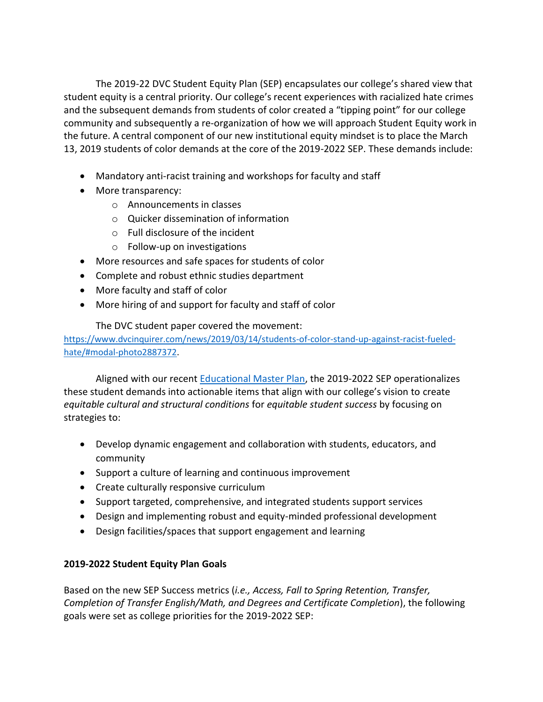The 2019-22 DVC Student Equity Plan (SEP) encapsulates our college's shared view that student equity is a central priority. Our college's recent experiences with racialized hate crimes and the subsequent demands from students of color created a "tipping point" for our college community and subsequently a re-organization of how we will approach Student Equity work in the future. A central component of our new institutional equity mindset is to place the March 13, 2019 students of color demands at the core of the 2019-2022 SEP. These demands include:

- Mandatory anti-racist training and workshops for faculty and staff
- More transparency:
	- o Announcements in classes
	- o Quicker dissemination of information
	- o Full disclosure of the incident
	- o Follow-up on investigations
- More resources and safe spaces for students of color
- Complete and robust ethnic studies department
- More faculty and staff of color
- More hiring of and support for faculty and staff of color

# The DVC student paper covered the movement:

[https://www.dvcinquirer.com/news/2019/03/14/students-of-color-stand-up-against-racist-fueled](https://www.dvcinquirer.com/news/2019/03/14/students-of-color-stand-up-against-racist-fueled-hate/)[hate/#modal-photo2887372.](https://www.dvcinquirer.com/news/2019/03/14/students-of-color-stand-up-against-racist-fueled-hate/)

Aligned with our recent [Educational Master Plan,](https://www.dvc.edu/about/governance/college-plans/educational-master-plan.html) the 2019-2022 SEP operationalizes these student demands into actionable items that align with our college's vision to create *equitable cultural and structural conditions* for *equitable student success* by focusing on strategies to:

- Develop dynamic engagement and collaboration with students, educators, and community
- Support a culture of learning and continuous improvement
- Create culturally responsive curriculum
- Support targeted, comprehensive, and integrated students support services
- Design and implementing robust and equity-minded professional development
- Design facilities/spaces that support engagement and learning

# **2019-2022 Student Equity Plan Goals**

Based on the new SEP Success metrics (*i.e., Access, Fall to Spring Retention, Transfer, Completion of Transfer English/Math, and Degrees and Certificate Completion*), the following goals were set as college priorities for the 2019-2022 SEP: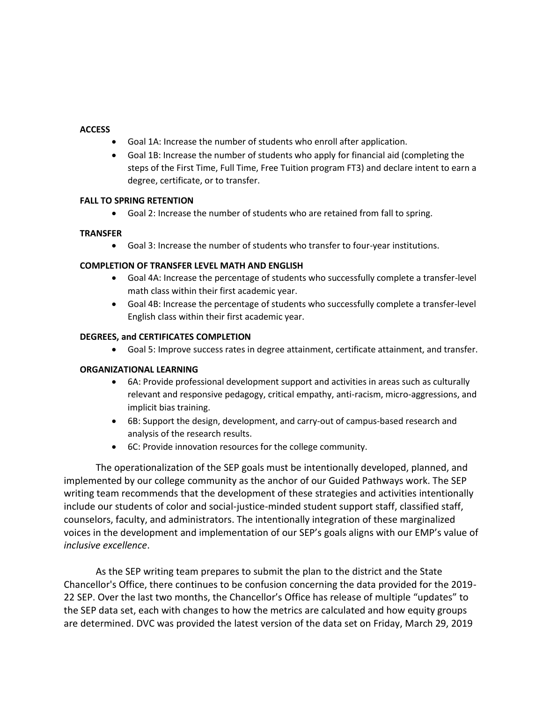#### **ACCESS**

- Goal 1A: Increase the number of students who enroll after application.
- Goal 1B: Increase the number of students who apply for financial aid (completing the steps of the First Time, Full Time, Free Tuition program FT3) and declare intent to earn a degree, certificate, or to transfer.

#### **FALL TO SPRING RETENTION**

Goal 2: Increase the number of students who are retained from fall to spring.

#### **TRANSFER**

Goal 3: Increase the number of students who transfer to four-year institutions.

#### **COMPLETION OF TRANSFER LEVEL MATH AND ENGLISH**

- Goal 4A: Increase the percentage of students who successfully complete a transfer-level math class within their first academic year.
- Goal 4B: Increase the percentage of students who successfully complete a transfer-level English class within their first academic year.

#### **DEGREES, and CERTIFICATES COMPLETION**

Goal 5: Improve success rates in degree attainment, certificate attainment, and transfer.

#### **ORGANIZATIONAL LEARNING**

- 6A: Provide professional development support and activities in areas such as culturally relevant and responsive pedagogy, critical empathy, anti-racism, micro-aggressions, and implicit bias training.
- 6B: Support the design, development, and carry-out of campus-based research and analysis of the research results.
- 6C: Provide innovation resources for the college community.

The operationalization of the SEP goals must be intentionally developed, planned, and implemented by our college community as the anchor of our Guided Pathways work. The SEP writing team recommends that the development of these strategies and activities intentionally include our students of color and social-justice-minded student support staff, classified staff, counselors, faculty, and administrators. The intentionally integration of these marginalized voices in the development and implementation of our SEP's goals aligns with our EMP's value of *inclusive excellence*.

As the SEP writing team prepares to submit the plan to the district and the State Chancellor's Office, there continues to be confusion concerning the data provided for the 2019- 22 SEP. Over the last two months, the Chancellor's Office has release of multiple "updates" to the SEP data set, each with changes to how the metrics are calculated and how equity groups are determined. DVC was provided the latest version of the data set on Friday, March 29, 2019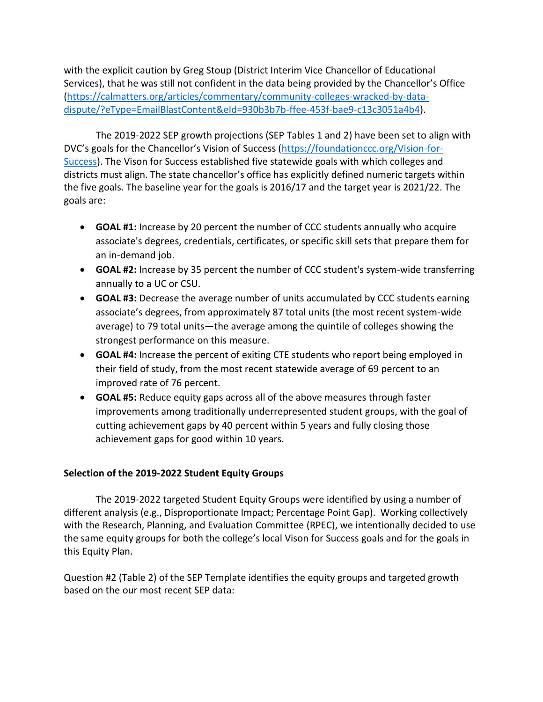with the explicit caution by Greg Stoup (District Interim Vice Chancellor of Educational Services), that he was still not confident in the data being provided by the Chancellor's Office [\(https://calmatters.org/articles/commentary/community-colleges-wracked-by-data](https://calmatters.org/articles/commentary/community-colleges-wracked-by-data-dispute/?eType=EmailBlastContent&eId=930b3b7b-ffee-453f-bae9-c13c3051a4b4)[dispute/?eType=EmailBlastContent&eId=930b3b7b-ffee-453f-bae9-c13c3051a4b4\)](https://calmatters.org/articles/commentary/community-colleges-wracked-by-data-dispute/?eType=EmailBlastContent&eId=930b3b7b-ffee-453f-bae9-c13c3051a4b4).

The 2019-2022 SEP growth projections (SEP Tables 1 and 2) have been set to align with DVC's goals for the Chancellor's Vision of Success ([https://foundationccc.org/Vision-for-](https://foundationccc.org/Vision-for-Success)[Success\)](https://foundationccc.org/Vision-for-Success). The Vison for Success established five statewide goals with which colleges and districts must align. The state chancellor's office has explicitly defined numeric targets within the five goals. The baseline year for the goals is 2016/17 and the target year is 2021/22. The goals are:

- **GOAL #1:** Increase by 20 percent the number of CCC students annually who acquire associate's degrees, credentials, certificates, or specific skill sets that prepare them for an in-demand job.
- **GOAL #2:** Increase by 35 percent the number of CCC student's system-wide transferring annually to a UC or CSU.
- **GOAL #3:** Decrease the average number of units accumulated by CCC students earning associate's degrees, from approximately 87 total units (the most recent system-wide average) to 79 total units—the average among the quintile of colleges showing the strongest performance on this measure.
- **GOAL #4:** Increase the percent of exiting CTE students who report being employed in their field of study, from the most recent statewide average of 69 percent to an improved rate of 76 percent.
- **GOAL #5:** Reduce equity gaps across all of the above measures through faster improvements among traditionally underrepresented student groups, with the goal of cutting achievement gaps by 40 percent within 5 years and fully closing those achievement gaps for good within 10 years.

# **Selection of the 2019-2022 Student Equity Groups**

The 2019-2022 targeted Student Equity Groups were identified by using a number of different analysis (e.g., Disproportionate Impact; Percentage Point Gap). Working collectively with the Research, Planning, and Evaluation Committee (RPEC), we intentionally decided to use the same equity groups for both the college's local Vison for Success goals and for the goals in this Equity Plan.

Question #2 (Table 2) of the SEP Template identifies the equity groups and targeted growth based on the our most recent SEP data: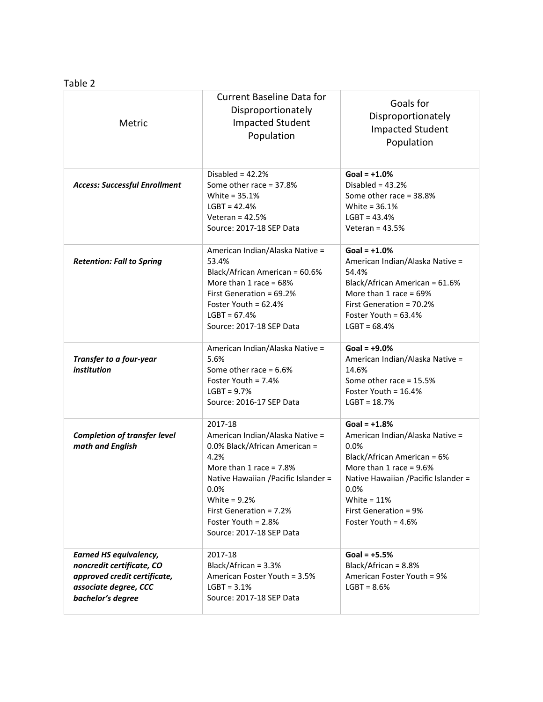## Table 2

| Metric                                                                                                                                   | <b>Current Baseline Data for</b><br>Disproportionately<br><b>Impacted Student</b><br>Population                                                                                                                                                                     | Goals for<br>Disproportionately<br><b>Impacted Student</b><br>Population                                                                                                                                                                      |
|------------------------------------------------------------------------------------------------------------------------------------------|---------------------------------------------------------------------------------------------------------------------------------------------------------------------------------------------------------------------------------------------------------------------|-----------------------------------------------------------------------------------------------------------------------------------------------------------------------------------------------------------------------------------------------|
| <b>Access: Successful Enrollment</b>                                                                                                     | Disabled = $42.2%$<br>Some other race = 37.8%<br>White = 35.1%<br>$LGBT = 42.4%$<br>Veteran = $42.5%$<br>Source: 2017-18 SEP Data                                                                                                                                   | $Goal = +1.0%$<br>Disabled = $43.2%$<br>Some other race = 38.8%<br>White = 36.1%<br>$LGBT = 43.4%$<br>Veteran = $43.5%$                                                                                                                       |
| <b>Retention: Fall to Spring</b>                                                                                                         | American Indian/Alaska Native =<br>53.4%<br>Black/African American = 60.6%<br>More than 1 race = $68%$<br>First Generation = 69.2%<br>Foster Youth = $62.4%$<br>$LGBT = 67.4%$<br>Source: 2017-18 SEP Data                                                          | $Goal = +1.0%$<br>American Indian/Alaska Native =<br>54.4%<br>Black/African American = 61.6%<br>More than $1$ race = 69%<br>First Generation = 70.2%<br>Foster Youth = $63.4\%$<br>$LGBT = 68.4%$                                             |
| Transfer to a four-year<br>institution                                                                                                   | American Indian/Alaska Native =<br>5.6%<br>Some other race = $6.6\%$<br>Foster Youth = 7.4%<br>$LGBT = 9.7%$<br>Source: 2016-17 SEP Data                                                                                                                            | Goal = $+9.0%$<br>American Indian/Alaska Native =<br>14.6%<br>Some other race = $15.5%$<br>Foster Youth = $16.4%$<br>$LGBT = 18.7%$                                                                                                           |
| <b>Completion of transfer level</b><br>math and English                                                                                  | 2017-18<br>American Indian/Alaska Native =<br>0.0% Black/African American =<br>4.2%<br>More than 1 race = $7.8\%$<br>Native Hawaiian / Pacific Islander =<br>0.0%<br>White = $9.2%$<br>First Generation = 7.2%<br>Foster Youth = $2.8%$<br>Source: 2017-18 SEP Data | $Goal = +1.8%$<br>American Indian/Alaska Native =<br>$0.0\%$<br>Black/African American = 6%<br>More than 1 race = $9.6\%$<br>Native Hawaiian / Pacific Islander =<br>0.0%<br>White = $11%$<br>First Generation = 9%<br>Foster Youth = $4.6\%$ |
| <b>Earned HS equivalency,</b><br>noncredit certificate, CO<br>approved credit certificate,<br>associate degree, CCC<br>bachelor's degree | 2017-18<br>Black/African = 3.3%<br>American Foster Youth = 3.5%<br>$LGBT = 3.1%$<br>Source: 2017-18 SEP Data                                                                                                                                                        | $Goal = +5.5%$<br>Black/African = 8.8%<br>American Foster Youth = 9%<br>$LGBT = 8.6%$                                                                                                                                                         |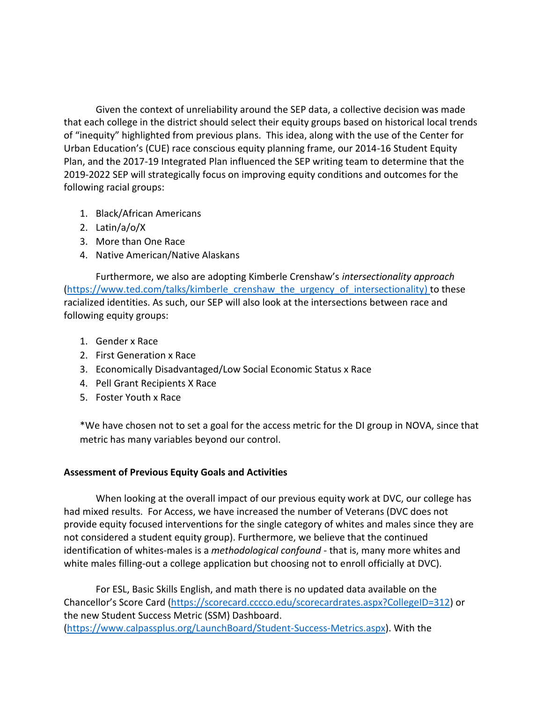Given the context of unreliability around the SEP data, a collective decision was made that each college in the district should select their equity groups based on historical local trends of "inequity" highlighted from previous plans. This idea, along with the use of the Center for Urban Education's (CUE) race conscious equity planning frame, our 2014-16 Student Equity Plan, and the 2017-19 Integrated Plan influenced the SEP writing team to determine that the 2019-2022 SEP will strategically focus on improving equity conditions and outcomes for the following racial groups:

- 1. Black/African Americans
- 2. Latin/a/o/X
- 3. More than One Race
- 4. Native American/Native Alaskans

Furthermore, we also are adopting Kimberle Crenshaw's *intersectionality approach* [\(https://www.ted.com/talks/kimberle\\_crenshaw\\_the\\_urgency\\_of\\_intersectionality\)](https://www.ted.com/talks/kimberle_crenshaw_the_urgency_of_intersectionality) to these racialized identities. As such, our SEP will also look at the intersections between race and following equity groups:

- 1. Gender x Race
- 2. First Generation x Race
- 3. Economically Disadvantaged/Low Social Economic Status x Race
- 4. Pell Grant Recipients X Race
- 5. Foster Youth x Race

\*We have chosen not to set a goal for the access metric for the DI group in NOVA, since that metric has many variables beyond our control.

# **Assessment of Previous Equity Goals and Activities**

When looking at the overall impact of our previous equity work at DVC, our college has had mixed results. For Access, we have increased the number of Veterans (DVC does not provide equity focused interventions for the single category of whites and males since they are not considered a student equity group). Furthermore, we believe that the continued identification of whites-males is a *methodological confound* - that is, many more whites and white males filling-out a college application but choosing not to enroll officially at DVC).

For ESL, Basic Skills English, and math there is no updated data available on the Chancellor's Score Card ([https://scorecard.cccco.edu/scorecardrates.aspx?CollegeID=312\)](https://scorecard.cccco.edu/scorecardrates.aspx?CollegeID=312) or the new Student Success Metric (SSM) Dashboard. [\(https://www.calpassplus.org/LaunchBoard/Student-Success-Metrics.aspx\)](https://www.calpassplus.org/LaunchBoard/Student-Success-Metrics.aspx). With the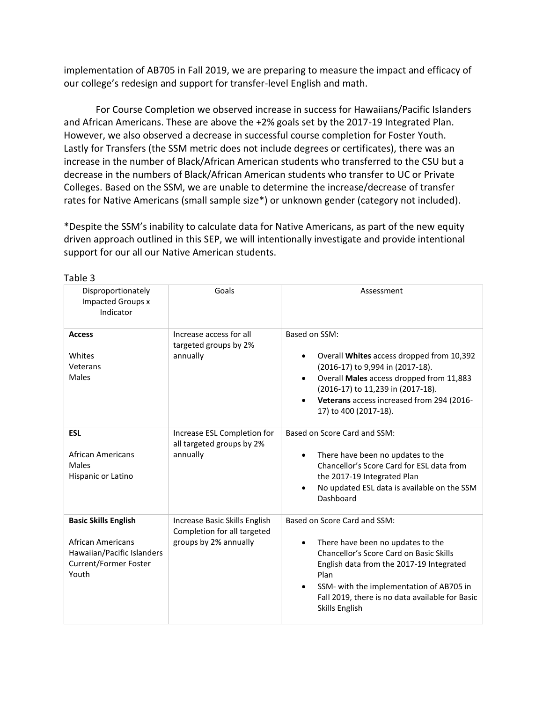implementation of AB705 in Fall 2019, we are preparing to measure the impact and efficacy of our college's redesign and support for transfer-level English and math.

For Course Completion we observed increase in success for Hawaiians/Pacific Islanders and African Americans. These are above the +2% goals set by the 2017-19 Integrated Plan. However, we also observed a decrease in successful course completion for Foster Youth. Lastly for Transfers (the SSM metric does not include degrees or certificates), there was an increase in the number of Black/African American students who transferred to the CSU but a decrease in the numbers of Black/African American students who transfer to UC or Private Colleges. Based on the SSM, we are unable to determine the increase/decrease of transfer rates for Native Americans (small sample size\*) or unknown gender (category not included).

\*Despite the SSM's inability to calculate data for Native Americans, as part of the new equity driven approach outlined in this SEP, we will intentionally investigate and provide intentional support for our all our Native American students.

| Disproportionately<br><b>Impacted Groups x</b><br>Indicator                                                             | Goals                                                                                 | Assessment                                                                                                                                                                                                                                                                                                  |
|-------------------------------------------------------------------------------------------------------------------------|---------------------------------------------------------------------------------------|-------------------------------------------------------------------------------------------------------------------------------------------------------------------------------------------------------------------------------------------------------------------------------------------------------------|
| <b>Access</b><br>Whites<br>Veterans<br>Males                                                                            | Increase access for all<br>targeted groups by 2%<br>annually                          | Based on SSM:<br>Overall Whites access dropped from 10,392<br>$\bullet$<br>(2016-17) to 9,994 in (2017-18).<br>Overall Males access dropped from 11,883<br>$\bullet$<br>(2016-17) to 11,239 in (2017-18).<br>Veterans access increased from 294 (2016-<br>$\bullet$<br>17) to 400 (2017-18).                |
| <b>ESL</b><br><b>African Americans</b><br>Males<br>Hispanic or Latino                                                   | Increase ESL Completion for<br>all targeted groups by 2%<br>annually                  | Based on Score Card and SSM:<br>There have been no updates to the<br>$\bullet$<br>Chancellor's Score Card for ESL data from<br>the 2017-19 Integrated Plan<br>No updated ESL data is available on the SSM<br>$\bullet$<br>Dashboard                                                                         |
| <b>Basic Skills English</b><br>African Americans<br>Hawaiian/Pacific Islanders<br><b>Current/Former Foster</b><br>Youth | Increase Basic Skills English<br>Completion for all targeted<br>groups by 2% annually | Based on Score Card and SSM:<br>There have been no updates to the<br>$\bullet$<br>Chancellor's Score Card on Basic Skills<br>English data from the 2017-19 Integrated<br>Plan<br>SSM- with the implementation of AB705 in<br>$\bullet$<br>Fall 2019, there is no data available for Basic<br>Skills English |

Table 3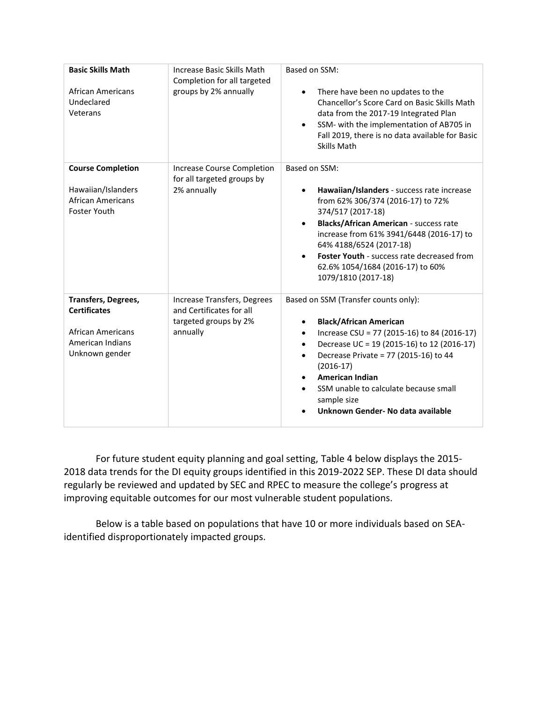| <b>Basic Skills Math</b><br><b>African Americans</b><br>Undeclared<br>Veterans                                      | Increase Basic Skills Math<br>Completion for all targeted<br>groups by 2% annually           | Based on SSM:<br>There have been no updates to the<br>$\bullet$<br>Chancellor's Score Card on Basic Skills Math<br>data from the 2017-19 Integrated Plan<br>SSM- with the implementation of AB705 in<br>Fall 2019, there is no data available for Basic<br><b>Skills Math</b>                                                                                              |
|---------------------------------------------------------------------------------------------------------------------|----------------------------------------------------------------------------------------------|----------------------------------------------------------------------------------------------------------------------------------------------------------------------------------------------------------------------------------------------------------------------------------------------------------------------------------------------------------------------------|
| <b>Course Completion</b><br>Hawaiian/Islanders<br><b>African Americans</b><br><b>Foster Youth</b>                   | Increase Course Completion<br>for all targeted groups by<br>2% annually                      | Based on SSM:<br>Hawaiian/Islanders - success rate increase<br>from 62% 306/374 (2016-17) to 72%<br>374/517 (2017-18)<br><b>Blacks/African American - success rate</b><br>$\bullet$<br>increase from 61% 3941/6448 (2016-17) to<br>64% 4188/6524 (2017-18)<br><b>Foster Youth - success rate decreased from</b><br>62.6% 1054/1684 (2016-17) to 60%<br>1079/1810 (2017-18) |
| <b>Transfers, Degrees,</b><br><b>Certificates</b><br><b>African Americans</b><br>American Indians<br>Unknown gender | Increase Transfers, Degrees<br>and Certificates for all<br>targeted groups by 2%<br>annually | Based on SSM (Transfer counts only):<br><b>Black/African American</b><br>Increase CSU = 77 (2015-16) to 84 (2016-17)<br>Decrease UC = 19 (2015-16) to 12 (2016-17)<br>Decrease Private = 77 (2015-16) to 44<br>$\bullet$<br>$(2016-17)$<br><b>American Indian</b><br>SSM unable to calculate because small<br>sample size<br>Unknown Gender- No data available             |

For future student equity planning and goal setting, Table 4 below displays the 2015- 2018 data trends for the DI equity groups identified in this 2019-2022 SEP. These DI data should regularly be reviewed and updated by SEC and RPEC to measure the college's progress at improving equitable outcomes for our most vulnerable student populations.

Below is a table based on populations that have 10 or more individuals based on SEAidentified disproportionately impacted groups.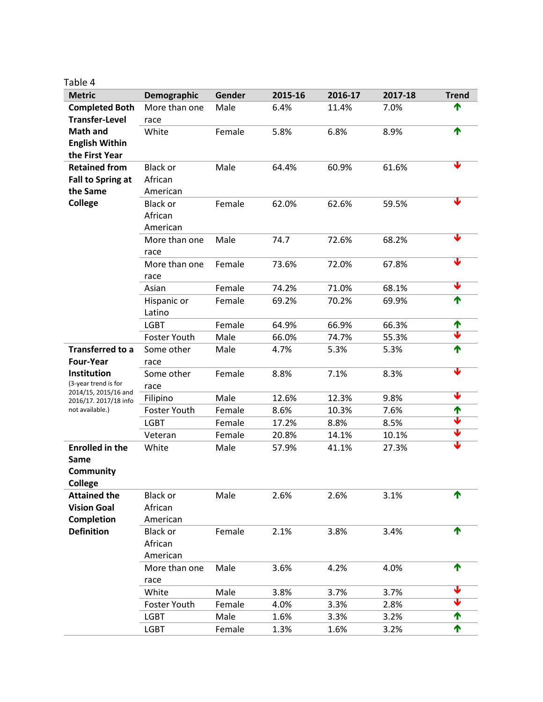| Λ<br>able |
|-----------|
|           |

| <b>Metric</b>                                | Demographic     | Gender | 2015-16 | 2016-17 | 2017-18 | <b>Trend</b>            |
|----------------------------------------------|-----------------|--------|---------|---------|---------|-------------------------|
| <b>Completed Both</b>                        | More than one   | Male   | 6.4%    | 11.4%   | 7.0%    | ᠰ                       |
| <b>Transfer-Level</b>                        | race            |        |         |         |         |                         |
| <b>Math and</b>                              | White           | Female | 5.8%    | 6.8%    | 8.9%    | ↑                       |
| <b>English Within</b>                        |                 |        |         |         |         |                         |
| the First Year                               |                 |        |         |         |         |                         |
| <b>Retained from</b>                         | <b>Black or</b> | Male   | 64.4%   | 60.9%   | 61.6%   |                         |
| Fall to Spring at                            | African         |        |         |         |         |                         |
| the Same                                     | American        |        |         |         |         |                         |
| College                                      | <b>Black or</b> | Female | 62.0%   | 62.6%   | 59.5%   |                         |
|                                              | African         |        |         |         |         |                         |
|                                              | American        |        |         |         |         |                         |
|                                              | More than one   | Male   | 74.7    | 72.6%   | 68.2%   |                         |
|                                              | race            |        |         |         |         |                         |
|                                              | More than one   | Female | 73.6%   | 72.0%   | 67.8%   |                         |
|                                              | race            |        |         |         |         |                         |
|                                              | Asian           | Female | 74.2%   | 71.0%   | 68.1%   | Ψ                       |
|                                              | Hispanic or     | Female | 69.2%   | 70.2%   | 69.9%   | ↑                       |
|                                              | Latino          |        |         |         |         |                         |
|                                              | <b>LGBT</b>     | Female | 64.9%   | 66.9%   | 66.3%   | ↑                       |
|                                              | Foster Youth    | Male   | 66.0%   | 74.7%   | 55.3%   | $\overline{\textbf{v}}$ |
| <b>Transferred to a</b>                      | Some other      | Male   | 4.7%    | 5.3%    | 5.3%    | ↑                       |
| <b>Four-Year</b>                             | race            |        |         |         |         |                         |
| Institution                                  | Some other      | Female | 8.8%    | 7.1%    | 8.3%    |                         |
| (3-year trend is for<br>2014/15, 2015/16 and | race            |        |         |         |         |                         |
| 2016/17. 2017/18 info                        | Filipino        | Male   | 12.6%   | 12.3%   | 9.8%    |                         |
| not available.)                              | Foster Youth    | Female | 8.6%    | 10.3%   | 7.6%    | ↑                       |
|                                              | <b>LGBT</b>     | Female | 17.2%   | 8.8%    | 8.5%    | ↓                       |
|                                              | Veteran         | Female | 20.8%   | 14.1%   | 10.1%   |                         |
| <b>Enrolled in the</b>                       | White           | Male   | 57.9%   | 41.1%   | 27.3%   |                         |
| Same                                         |                 |        |         |         |         |                         |
| Community                                    |                 |        |         |         |         |                         |
| <b>College</b>                               |                 |        |         |         |         |                         |
| <b>Attained the</b>                          | <b>Black or</b> | Male   | 2.6%    | 2.6%    | 3.1%    | ↑                       |
| <b>Vision Goal</b>                           | African         |        |         |         |         |                         |
| <b>Completion</b>                            | American        |        |         |         |         |                         |
| <b>Definition</b>                            | <b>Black or</b> | Female | 2.1%    | 3.8%    | 3.4%    | ↑                       |
|                                              | African         |        |         |         |         |                         |
|                                              | American        |        |         |         |         |                         |
|                                              | More than one   | Male   | 3.6%    | 4.2%    | 4.0%    | ↑                       |
|                                              | race            |        |         |         |         |                         |
|                                              | White           | Male   | 3.8%    | 3.7%    | 3.7%    |                         |
|                                              | Foster Youth    | Female | 4.0%    | 3.3%    | 2.8%    |                         |
|                                              | <b>LGBT</b>     | Male   | 1.6%    | 3.3%    | 3.2%    | ↑                       |
|                                              | <b>LGBT</b>     | Female | 1.3%    | 1.6%    | 3.2%    | ↑                       |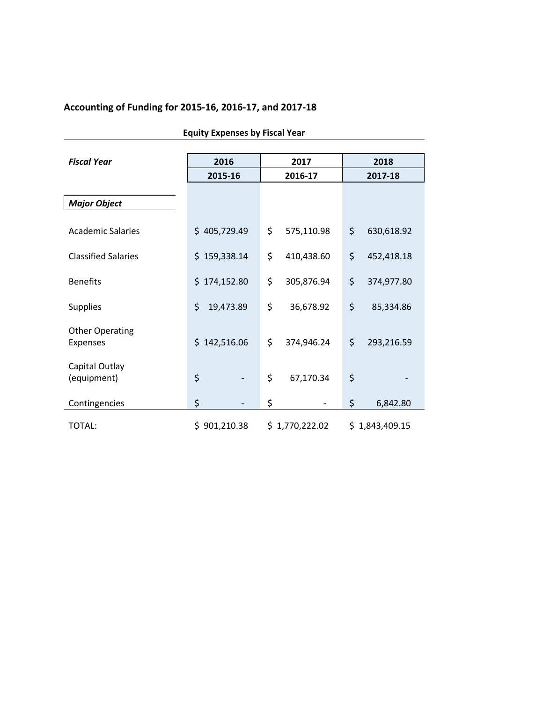# **Accounting of Funding for 2015-16, 2016-17, and 2017-18**

| <b>Fiscal Year</b>         | 2016            | 2017             | 2018             |  |
|----------------------------|-----------------|------------------|------------------|--|
|                            | 2015-16         | 2016-17          | 2017-18          |  |
|                            |                 |                  |                  |  |
| <b>Major Object</b>        |                 |                  |                  |  |
|                            |                 |                  |                  |  |
| <b>Academic Salaries</b>   | \$405,729.49    | \$<br>575,110.98 | \$<br>630,618.92 |  |
|                            |                 |                  |                  |  |
| <b>Classified Salaries</b> | \$159,338.14    | \$<br>410,438.60 | \$<br>452,418.18 |  |
|                            |                 |                  |                  |  |
| <b>Benefits</b>            | \$174,152.80    | \$<br>305,876.94 | \$<br>374,977.80 |  |
| <b>Supplies</b>            | \$<br>19,473.89 | \$<br>36,678.92  | \$<br>85,334.86  |  |
|                            |                 |                  |                  |  |
| <b>Other Operating</b>     |                 |                  |                  |  |
| Expenses                   | \$142,516.06    | \$<br>374,946.24 | \$<br>293,216.59 |  |
|                            |                 |                  |                  |  |
| Capital Outlay             |                 | \$               |                  |  |
| (equipment)                | \$              | 67,170.34        | \$               |  |
| Contingencies              | \$              | \$               | \$<br>6,842.80   |  |
|                            |                 |                  |                  |  |
| TOTAL:                     | \$901,210.38    | \$1,770,222.02   | \$1,843,409.15   |  |

**Equity Expenses by Fiscal Year**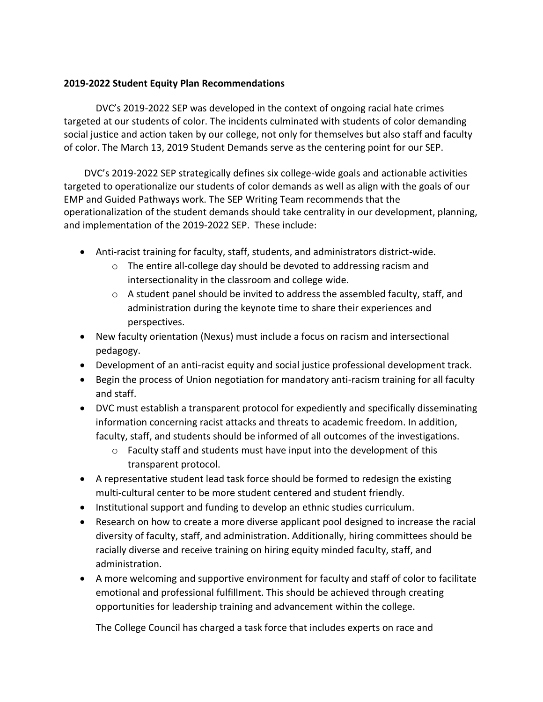## **2019-2022 Student Equity Plan Recommendations**

DVC's 2019-2022 SEP was developed in the context of ongoing racial hate crimes targeted at our students of color. The incidents culminated with students of color demanding social justice and action taken by our college, not only for themselves but also staff and faculty of color. The March 13, 2019 Student Demands serve as the centering point for our SEP.

DVC's 2019-2022 SEP strategically defines six college-wide goals and actionable activities targeted to operationalize our students of color demands as well as align with the goals of our EMP and Guided Pathways work. The SEP Writing Team recommends that the operationalization of the student demands should take centrality in our development, planning, and implementation of the 2019-2022 SEP. These include:

- Anti-racist training for faculty, staff, students, and administrators district-wide.
	- o The entire all-college day should be devoted to addressing racism and intersectionality in the classroom and college wide.
	- $\circ$  A student panel should be invited to address the assembled faculty, staff, and administration during the keynote time to share their experiences and perspectives.
- New faculty orientation (Nexus) must include a focus on racism and intersectional pedagogy.
- Development of an anti-racist equity and social justice professional development track.
- Begin the process of Union negotiation for mandatory anti-racism training for all faculty and staff.
- DVC must establish a transparent protocol for expediently and specifically disseminating information concerning racist attacks and threats to academic freedom. In addition, faculty, staff, and students should be informed of all outcomes of the investigations.
	- o Faculty staff and students must have input into the development of this transparent protocol.
- A representative student lead task force should be formed to redesign the existing multi-cultural center to be more student centered and student friendly.
- Institutional support and funding to develop an ethnic studies curriculum.
- Research on how to create a more diverse applicant pool designed to increase the racial diversity of faculty, staff, and administration. Additionally, hiring committees should be racially diverse and receive training on hiring equity minded faculty, staff, and administration.
- A more welcoming and supportive environment for faculty and staff of color to facilitate emotional and professional fulfillment. This should be achieved through creating opportunities for leadership training and advancement within the college.

The College Council has charged a task force that includes experts on race and